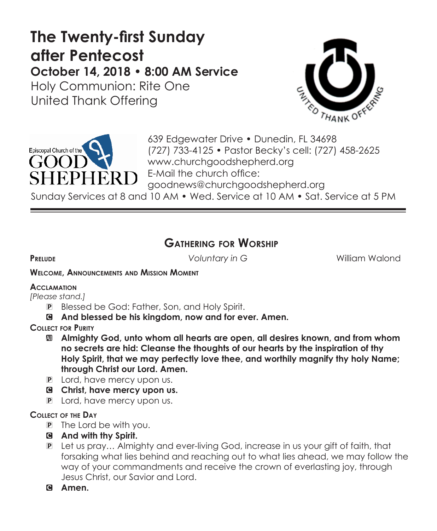# **The Twenty-first Sunday after Pentecost October 14, 2018 • 8:00 AM Service**

Holy Communion: Rite One United Thank Offering





639 Edgewater Drive • Dunedin, FL 34698 (727) 733-4125 • Pastor Becky's cell: (727) 458-2625 www.churchgoodshepherd.org E-Mail the church office: goodnews@churchgoodshepherd.org

Sunday Services at 8 and 10 AM • Wed. Service at 10 AM • Sat. Service at 5 PM

## **Gathering for Worship**

**Prelude** *Voluntary in G* William Walond

#### **Welcome, Announcements and Mission Moment**

#### **Acclamation**

*[Please stand.]* 

- P Blessed be God: Father, Son, and Holy Spirit.
- C **And blessed be his kingdom, now and for ever. Amen.**

#### **Collect for Purity**

- a **Almighty God, unto whom all hearts are open, all desires known, and from whom no secrets are hid: Cleanse the thoughts of our hearts by the inspiration of thy Holy Spirit, that we may perfectly love thee, and worthily magnify thy holy Name; through Christ our Lord. Amen.**
- P Lord, have mercy upon us.
- C **Christ, have mercy upon us.**
- P Lord, have mercy upon us.

#### **Collect of the Day**

- P The Lord be with you.
- C **And with thy Spirit.**
- P Let us pray… Almighty and ever-living God, increase in us your gift of faith, that forsaking what lies behind and reaching out to what lies ahead, we may follow the way of your commandments and receive the crown of everlasting joy, through Jesus Christ, our Savior and Lord.
- C **Amen.**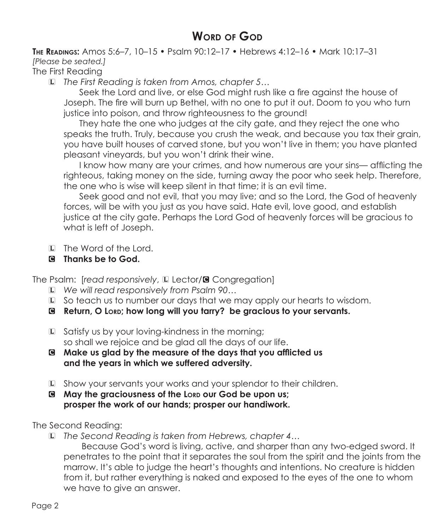## **WORD OF GOD**

**The Readings:** Amos 5:6–7, 10–15 • Psalm 90:12–17 • Hebrews 4:12–16 • Mark 10:17–31 *[Please be seated.]*

The First Reading

L *The First Reading is taken from Amos, chapter 5…*

Seek the Lord and live, or else God might rush like a fire against the house of Joseph. The fire will burn up Bethel, with no one to put it out. Doom to you who turn justice into poison, and throw righteousness to the ground!

 They hate the one who judges at the city gate, and they reject the one who speaks the truth. Truly, because you crush the weak, and because you tax their grain, you have built houses of carved stone, but you won't live in them; you have planted pleasant vineyards, but you won't drink their wine.

I know how many are your crimes, and how numerous are your sins— afflicting the righteous, taking money on the side, turning away the poor who seek help. Therefore, the one who is wise will keep silent in that time; it is an evil time.

Seek good and not evil, that you may live; and so the Lord, the God of heavenly forces, will be with you just as you have said. Hate evil, love good, and establish justice at the city gate. Perhaps the Lord God of heavenly forces will be gracious to what is left of Joseph.

- L The Word of the Lord.
- C **Thanks be to God.**

The Psalm: [read responsively, La Lector/<sup>8</sup> Congregation]

- L *We will read responsively from Psalm 90…*
- L So teach us to number our days that we may apply our hearts to wisdom.
- C **Return, O Lord; how long will you tarry? be gracious to your servants.**
- L Satisfy us by your loving-kindness in the morning; so shall we rejoice and be glad all the days of our life.
- C **Make us glad by the measure of the days that you afflicted us and the years in which we suffered adversity.**
- L Show your servants your works and your splendor to their children.
- G May the graciousness of the Lord our God be upon us;  **prosper the work of our hands; prosper our handiwork.**

The Second Reading:

L *The Second Reading is taken from Hebrews, chapter 4…*

 Because God's word is living, active, and sharper than any two-edged sword. It penetrates to the point that it separates the soul from the spirit and the joints from the marrow. It's able to judge the heart's thoughts and intentions. No creature is hidden from it, but rather everything is naked and exposed to the eyes of the one to whom we have to give an answer.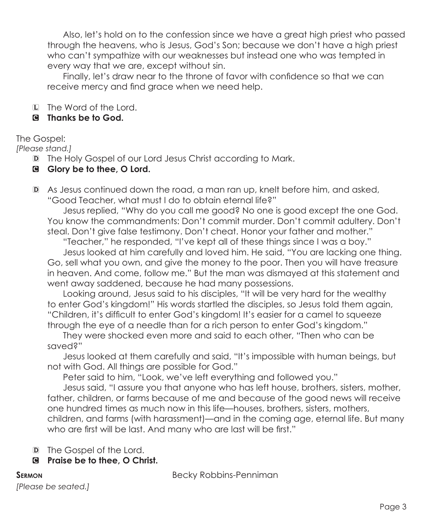Also, let's hold on to the confession since we have a great high priest who passed through the heavens, who is Jesus, God's Son; because we don't have a high priest who can't sympathize with our weaknesses but instead one who was tempted in every way that we are, except without sin.

Finally, let's draw near to the throne of favor with confidence so that we can receive mercy and find grace when we need help.

L The Word of the Lord.

#### C **Thanks be to God.**

The Gospel:

*[Please stand.]*

- D The Holy Gospel of our Lord Jesus Christ according to Mark.
- C **Glory be to thee, O Lord.**
- D As Jesus continued down the road, a man ran up, knelt before him, and asked, "Good Teacher, what must I do to obtain eternal life?"

Jesus replied, "Why do you call me good? No one is good except the one God. You know the commandments: Don't commit murder. Don't commit adultery. Don't steal. Don't give false testimony. Don't cheat. Honor your father and mother."

"Teacher," he responded, "I've kept all of these things since I was a boy."

 Jesus looked at him carefully and loved him. He said, "You are lacking one thing. Go, sell what you own, and give the money to the poor. Then you will have treasure in heaven. And come, follow me." But the man was dismayed at this statement and went away saddened, because he had many possessions.

 Looking around, Jesus said to his disciples, "It will be very hard for the wealthy to enter God's kingdom!" His words startled the disciples, so Jesus told them again, "Children, it's difficult to enter God's kingdom! It's easier for a camel to squeeze through the eye of a needle than for a rich person to enter God's kingdom."

 They were shocked even more and said to each other, "Then who can be saved?"

Jesus looked at them carefully and said, "It's impossible with human beings, but not with God. All things are possible for God."

Peter said to him, "Look, we've left everything and followed you."

 Jesus said, "I assure you that anyone who has left house, brothers, sisters, mother, father, children, or farms because of me and because of the good news will receive one hundred times as much now in this life—houses, brothers, sisters, mothers, children, and farms (with harassment)—and in the coming age, eternal life. But many who are first will be last. And many who are last will be first."

D The Gospel of the Lord.

#### C **Praise be to thee, O Christ.**

**SERMON Becky Robbins-Penniman** 

```
[Please be seated.]
```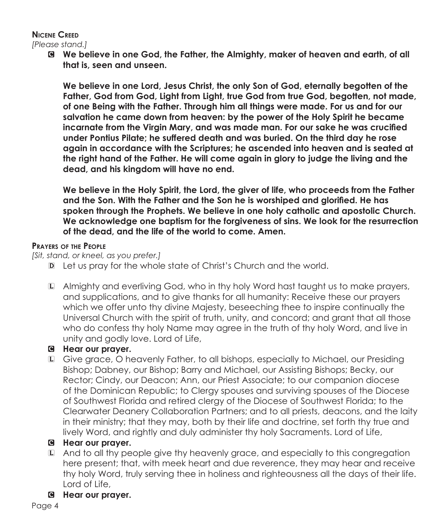#### **Nicene Creed**

*[Please stand.]*

C **We believe in one God, the Father, the Almighty, maker of heaven and earth, of all that is, seen and unseen.** 

**We believe in one Lord, Jesus Christ, the only Son of God, eternally begotten of the Father, God from God, Light from Light, true God from true God, begotten, not made, of one Being with the Father. Through him all things were made. For us and for our salvation he came down from heaven: by the power of the Holy Spirit he became incarnate from the Virgin Mary, and was made man. For our sake he was crucified under Pontius Pilate; he suffered death and was buried. On the third day he rose again in accordance with the Scriptures; he ascended into heaven and is seated at the right hand of the Father. He will come again in glory to judge the living and the dead, and his kingdom will have no end.**

**We believe in the Holy Spirit, the Lord, the giver of life, who proceeds from the Father and the Son. With the Father and the Son he is worshiped and glorified. He has spoken through the Prophets. We believe in one holy catholic and apostolic Church. We acknowledge one baptism for the forgiveness of sins. We look for the resurrection of the dead, and the life of the world to come. Amen.**

#### **Prayers of the People**

*[Sit, stand, or kneel, as you prefer.]*

- D Let us pray for the whole state of Christ's Church and the world.
- L Almighty and everliving God, who in thy holy Word hast taught us to make prayers, and supplications, and to give thanks for all humanity: Receive these our prayers which we offer unto thy divine Majesty, beseeching thee to inspire continually the Universal Church with the spirit of truth, unity, and concord; and grant that all those who do confess thy holy Name may agree in the truth of thy holy Word, and live in unity and godly love. Lord of Life,

#### C **Hear our prayer.**

L Give grace, O heavenly Father, to all bishops, especially to Michael, our Presiding Bishop; Dabney, our Bishop; Barry and Michael, our Assisting Bishops; Becky, our Rector; Cindy, our Deacon; Ann, our Priest Associate; to our companion diocese of the Dominican Republic; to Clergy spouses and surviving spouses of the Diocese of Southwest Florida and retired clergy of the Diocese of Southwest Florida; to the Clearwater Deanery Collaboration Partners; and to all priests, deacons, and the laity in their ministry; that they may, both by their life and doctrine, set forth thy true and lively Word, and rightly and duly administer thy holy Sacraments. Lord of Life,

#### C **Hear our prayer.**

- L And to all thy people give thy heavenly grace, and especially to this congregation here present; that, with meek heart and due reverence, they may hear and receive thy holy Word, truly serving thee in holiness and righteousness all the days of their life. Lord of Life,
- C **Hear our prayer.**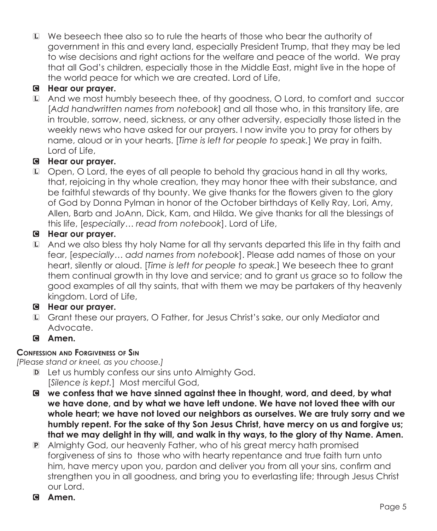L We beseech thee also so to rule the hearts of those who bear the authority of government in this and every land, especially President Trump, that they may be led to wise decisions and right actions for the welfare and peace of the world. We pray that all God's children, especially those in the Middle East, might live in the hope of the world peace for which we are created. Lord of Life,

### C **Hear our prayer.**

L And we most humbly beseech thee, of thy goodness, O Lord, to comfort and succor [*Add handwritten names from notebook*] and all those who, in this transitory life, are in trouble, sorrow, need, sickness, or any other adversity, especially those listed in the weekly news who have asked for our prayers. I now invite you to pray for others by name, aloud or in your hearts. [*Time is left for people to speak.*] We pray in faith. Lord of Life,

#### C **Hear our prayer.**

L Open, O Lord, the eyes of all people to behold thy gracious hand in all thy works, that, rejoicing in thy whole creation, they may honor thee with their substance, and be faithful stewards of thy bounty. We give thanks for the flowers given to the glory of God by Donna Pylman in honor of the October birthdays of Kelly Ray, Lori, Amy, Allen, Barb and JoAnn, Dick, Kam, and Hilda. We give thanks for all the blessings of this life, [*especially… read from notebook*]. Lord of Life,

#### C **Hear our prayer.**

L And we also bless thy holy Name for all thy servants departed this life in thy faith and fear, [*especially… add names from notebook*]. Please add names of those on your heart, silently or aloud. [*Time is left for people to speak.*] We beseech thee to grant them continual growth in thy love and service; and to grant us grace so to follow the good examples of all thy saints, that with them we may be partakers of thy heavenly kingdom. Lord of Life,

#### C **Hear our prayer.**

L Grant these our prayers, O Father, for Jesus Christ's sake, our only Mediator and Advocate.

#### C **Amen.**

#### **Confession and Forgiveness of Sin**

*[Please stand or kneel, as you choose.]*

- D Let us humbly confess our sins unto Almighty God. [*Silence is kept.*] Most merciful God,
- C **we confess that we have sinned against thee in thought, word, and deed, by what we have done, and by what we have left undone. We have not loved thee with our whole heart; we have not loved our neighbors as ourselves. We are truly sorry and we humbly repent. For the sake of thy Son Jesus Christ, have mercy on us and forgive us; that we may delight in thy will, and walk in thy ways, to the glory of thy Name. Amen.**
- P Almighty God, our heavenly Father, who of his great mercy hath promised forgiveness of sins to those who with hearty repentance and true faith turn unto him, have mercy upon you, pardon and deliver you from all your sins, confirm and strengthen you in all goodness, and bring you to everlasting life; through Jesus Christ our Lord.
- C **Amen.**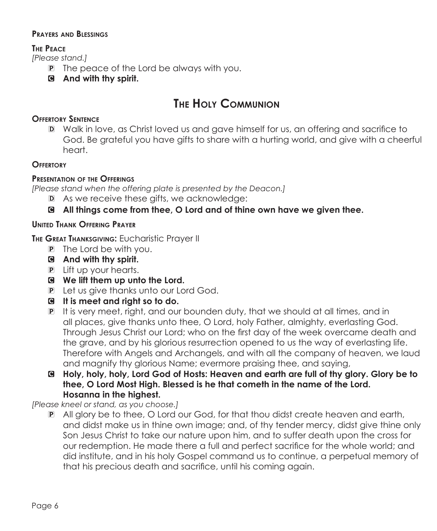#### **Prayers and Blessings**

#### **The Peace**

*[Please stand.]*

- P The peace of the Lord be always with you.
- C **And with thy spirit.**

## **The Holy Communion**

#### **Offertory Sentence**

D Walk in love, as Christ loved us and gave himself for us, an offering and sacrifice to God. Be grateful you have gifts to share with a hurting world, and give with a cheerful heart.

#### **Offertory**

#### **Presentation of the Offerings**

*[Please stand when the offering plate is presented by the Deacon.]*

- D As we receive these gifts, we acknowledge:
- C **All things come from thee, O Lord and of thine own have we given thee.**

#### **United Thank Offering Prayer**

**The Great Thanksgiving:** Eucharistic Prayer II

- P The Lord be with you.
- C **And with thy spirit.**
- P Lift up your hearts.
- C **We lift them up unto the Lord.**
- P Let us give thanks unto our Lord God.
- C **It is meet and right so to do.**
- P It is very meet, right, and our bounden duty, that we should at all times, and in all places, give thanks unto thee, O Lord, holy Father, almighty, everlasting God. Through Jesus Christ our Lord; who on the first day of the week overcame death and the grave, and by his glorious resurrection opened to us the way of everlasting life. Therefore with Angels and Archangels, and with all the company of heaven, we laud and magnify thy glorious Name; evermore praising thee, and saying,
- C **Holy, holy, holy, Lord God of Hosts: Heaven and earth are full of thy glory. Glory be to thee, O Lord Most High. Blessed is he that cometh in the name of the Lord. Hosanna in the highest.**

*[Please kneel or stand, as you choose.]*

P All glory be to thee, O Lord our God, for that thou didst create heaven and earth, and didst make us in thine own image; and, of thy tender mercy, didst give thine only Son Jesus Christ to take our nature upon him, and to suffer death upon the cross for our redemption. He made there a full and perfect sacrifice for the whole world; and did institute, and in his holy Gospel command us to continue, a perpetual memory of that his precious death and sacrifice, until his coming again.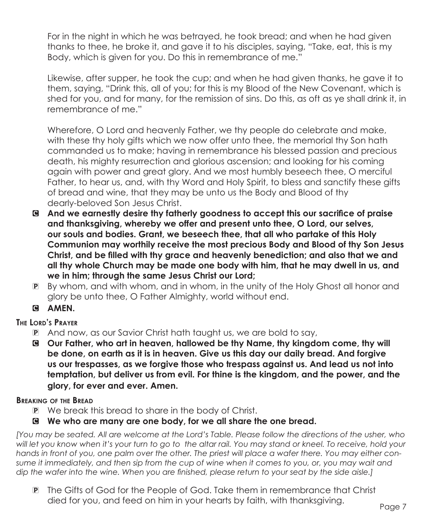For in the night in which he was betrayed, he took bread; and when he had given thanks to thee, he broke it, and gave it to his disciples, saying, "Take, eat, this is my Body, which is given for you. Do this in remembrance of me."

Likewise, after supper, he took the cup; and when he had given thanks, he gave it to them, saying, "Drink this, all of you; for this is my Blood of the New Covenant, which is shed for you, and for many, for the remission of sins. Do this, as oft as ye shall drink it, in remembrance of me."

 Wherefore, O Lord and heavenly Father, we thy people do celebrate and make, with these thy holy gifts which we now offer unto thee, the memorial thy Son hath commanded us to make; having in remembrance his blessed passion and precious death, his mighty resurrection and glorious ascension; and looking for his coming again with power and great glory. And we most humbly beseech thee, O merciful Father, to hear us, and, with thy Word and Holy Spirit, to bless and sanctify these gifts of bread and wine, that they may be unto us the Body and Blood of thy dearly-beloved Son Jesus Christ.

- C **And we earnestly desire thy fatherly goodness to accept this our sacrifice of praise and thanksgiving, whereby we offer and present unto thee, O Lord, our selves, our souls and bodies. Grant, we beseech thee, that all who partake of this Holy Communion may worthily receive the most precious Body and Blood of thy Son Jesus Christ, and be filled with thy grace and heavenly benediction; and also that we and all thy whole Church may be made one body with him, that he may dwell in us, and we in him; through the same Jesus Christ our Lord;**
- P By whom, and with whom, and in whom, in the unity of the Holy Ghost all honor and glory be unto thee, O Father Almighty, world without end.
- C **AMEN.**

#### **The Lord's Prayer**

- P And now, as our Savior Christ hath taught us, we are bold to say,
- C **Our Father, who art in heaven, hallowed be thy Name, thy kingdom come, thy will be done, on earth as it is in heaven. Give us this day our daily bread. And forgive us our trespasses, as we forgive those who trespass against us. And lead us not into temptation, but deliver us from evil. For thine is the kingdom, and the power, and the glory, for ever and ever. Amen.**

#### **Breaking of the Bread**

- P We break this bread to share in the body of Christ.
- C **We who are many are one body, for we all share the one bread.**

*[You may be seated. All are welcome at the Lord's Table. Please follow the directions of the usher, who*  will let you know when it's your turn to go to the altar rail. You may stand or kneel. To receive, hold your *hands in front of you, one palm over the other. The priest will place a wafer there. You may either consume it immediately, and then sip from the cup of wine when it comes to you, or, you may wait and dip the wafer into the wine. When you are finished, please return to your seat by the side aisle.]*

P The Gifts of God for the People of God. Take them in remembrance that Christ died for you, and feed on him in your hearts by faith, with thanksgiving.